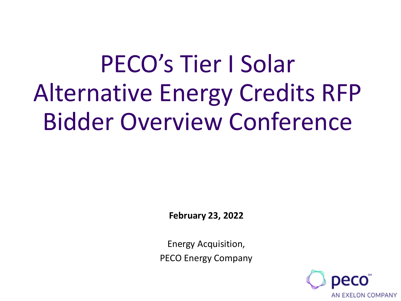# PECO's Tier I Solar Alternative Energy Credits RFP Bidder Overview Conference

**February 23, 2022**

Energy Acquisition, PECO Energy Company

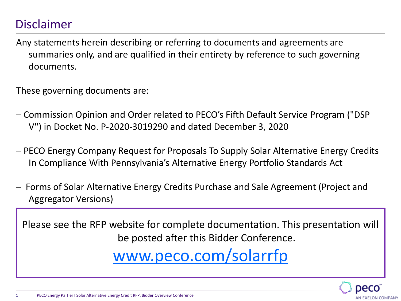## Disclaimer

Any statements herein describing or referring to documents and agreements are summaries only, and are qualified in their entirety by reference to such governing documents.

These governing documents are:

- Commission Opinion and Order related to PECO's Fifth Default Service Program ("DSP V") in Docket No. P-2020-3019290 and dated December 3, 2020
- PECO Energy Company Request for Proposals To Supply Solar Alternative Energy Credits In Compliance With Pennsylvania's Alternative Energy Portfolio Standards Act
- Forms of Solar Alternative Energy Credits Purchase and Sale Agreement (Project and Aggregator Versions)

Please see the RFP website for complete documentation. This presentation will be posted after this Bidder Conference. [www.peco.com/solarrfp](http://www.peco.com/solarrfp)

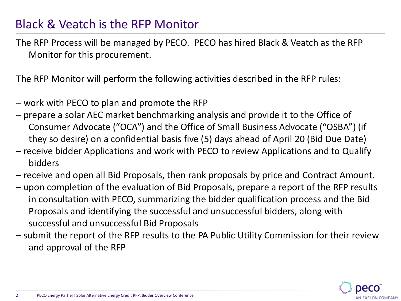### Black & Veatch is the RFP Monitor

The RFP Process will be managed by PECO. PECO has hired Black & Veatch as the RFP Monitor for this procurement.

The RFP Monitor will perform the following activities described in the RFP rules:

- work with PECO to plan and promote the RFP
- prepare a solar AEC market benchmarking analysis and provide it to the Office of Consumer Advocate ("OCA") and the Office of Small Business Advocate ("OSBA") (if they so desire) on a confidential basis five (5) days ahead of April 20 (Bid Due Date)
- receive bidder Applications and work with PECO to review Applications and to Qualify bidders
- receive and open all Bid Proposals, then rank proposals by price and Contract Amount.
- upon completion of the evaluation of Bid Proposals, prepare a report of the RFP results in consultation with PECO, summarizing the bidder qualification process and the Bid Proposals and identifying the successful and unsuccessful bidders, along with successful and unsuccessful Bid Proposals
- submit the report of the RFP results to the PA Public Utility Commission for their review and approval of the RFP

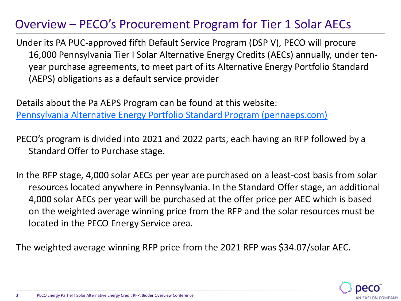## Overview – PECO's Procurement Program for Tier 1 Solar AECs

Under its PA PUC-approved fifth Default Service Program (DSP V), PECO will procure 16,000 Pennsylvania Tier I Solar Alternative Energy Credits (AECs) annually, under tenyear purchase agreements, to meet part of its Alternative Energy Portfolio Standard (AEPS) obligations as a default service provider

Details about the Pa AEPS Program can be found at this website: [Pennsylvania Alternative Energy Portfolio Standard Program \(pennaeps.com\)](https://pennaeps.com/)

PECO's program is divided into 2021 and 2022 parts, each having an RFP followed by a Standard Offer to Purchase stage.

In the RFP stage, 4,000 solar AECs per year are purchased on a least-cost basis from solar resources located anywhere in Pennsylvania. In the Standard Offer stage, an additional 4,000 solar AECs per year will be purchased at the offer price per AEC which is based on the weighted average winning price from the RFP and the solar resources must be located in the PECO Energy Service area.

The weighted average winning RFP price from the 2021 RFP was \$34.07/solar AEC.

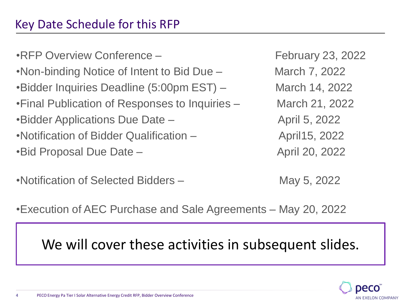## Key Date Schedule for this RFP

•RFP Overview Conference – February 23, 2022 •Non-binding Notice of Intent to Bid Due – March 7, 2022 •Bidder Inquiries Deadline (5:00pm EST) – March 14, 2022 •Final Publication of Responses to Inquiries – March 21, 2022 •Bidder Applications Due Date – The April 5, 2022 •Notification of Bidder Qualification – The April15, 2022 •Bid Proposal Due Date – April 20, 2022

•Notification of Selected Bidders – May 5, 2022

•Execution of AEC Purchase and Sale Agreements – May 20, 2022

We will cover these activities in subsequent slides.

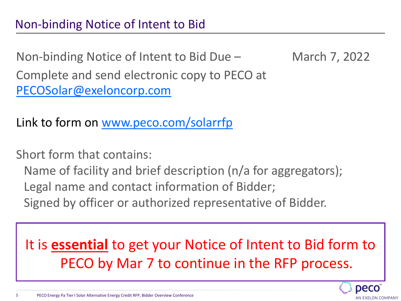Non-binding Notice of Intent to Bid Due – March 7, 2022

Complete and send electronic copy to PECO at [PECOSolar@exeloncorp.com](mailto:PECOSolar@exeloncorp.com)

Link to form on [www.peco.com/solarrfp](http://www.peco.com/solarrfp)

Short form that contains:

Name of facility and brief description (n/a for aggregators); Legal name and contact information of Bidder; Signed by officer or authorized representative of Bidder.

It is **essential** to get your Notice of Intent to Bid form to PECO by Mar 7 to continue in the RFP process.

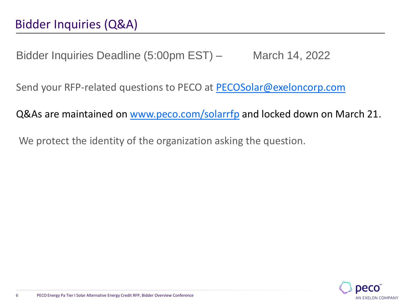Bidder Inquiries Deadline (5:00pm EST) – March 14, 2022

Send your RFP-related questions to PECO at [PECOSolar@exeloncorp.com](mailto:PECOSolar@exeloncorp.com)

Q&As are maintained on [www.peco.com/solarrfp](http://www.peco.com/solarrfp) and locked down on March 21.

We protect the identity of the organization asking the question.

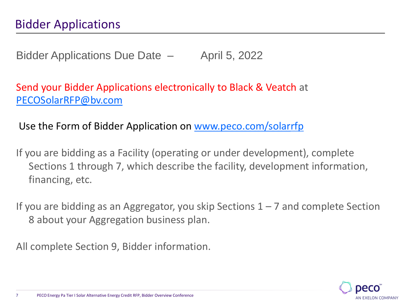Bidder Applications Due Date – April 5, 2022

Send your Bidder Applications electronically to Black & Veatch at [PECOSolarRFP@bv.com](mailto:PECOSolarRFP@bv.com)

Use the Form of Bidder Application on [www.peco.com/solarrfp](http://www.peco.com/solarrfp)

If you are bidding as a Facility (operating or under development), complete Sections 1 through 7, which describe the facility, development information, financing, etc.

If you are bidding as an Aggregator, you skip Sections  $1 - 7$  and complete Section 8 about your Aggregation business plan.

All complete Section 9, Bidder information.

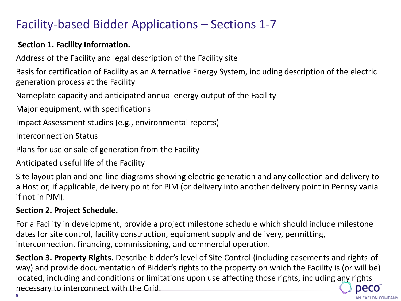## Facility-based Bidder Applications – Sections 1-7

#### **Section 1. Facility Information.**

Address of the Facility and legal description of the Facility site

Basis for certification of Facility as an Alternative Energy System, including description of the electric generation process at the Facility

Nameplate capacity and anticipated annual energy output of the Facility

Major equipment, with specifications

Impact Assessment studies (e.g., environmental reports)

Interconnection Status

Plans for use or sale of generation from the Facility

Anticipated useful life of the Facility

Site layout plan and one-line diagrams showing electric generation and any collection and delivery to a Host or, if applicable, delivery point for PJM (or delivery into another delivery point in Pennsylvania if not in PJM).

#### **Section 2. Project Schedule.**

For a Facility in development, provide a project milestone schedule which should include milestone dates for site control, facility construction, equipment supply and delivery, permitting, interconnection, financing, commissioning, and commercial operation.

**Section 3. Property Rights.** Describe bidder's level of Site Control (including easements and rights-ofway) and provide documentation of Bidder's rights to the property on which the Facility is (or will be) located, including and conditions or limitations upon use affecting those rights, including any rights necessary to interconnect with the Grid. Decc 8

AN EXELON COMPANY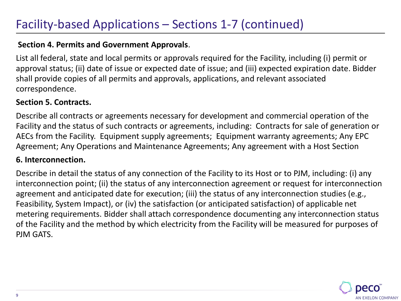#### **Section 4. Permits and Government Approvals**.

List all federal, state and local permits or approvals required for the Facility, including (i) permit or approval status; (ii) date of issue or expected date of issue; and (iii) expected expiration date. Bidder shall provide copies of all permits and approvals, applications, and relevant associated correspondence.

#### **Section 5. Contracts.**

Describe all contracts or agreements necessary for development and commercial operation of the Facility and the status of such contracts or agreements, including: Contracts for sale of generation or AECs from the Facility. Equipment supply agreements; Equipment warranty agreements; Any EPC Agreement; Any Operations and Maintenance Agreements; Any agreement with a Host Section

#### **6. Interconnection.**

Describe in detail the status of any connection of the Facility to its Host or to PJM, including: (i) any interconnection point; (ii) the status of any interconnection agreement or request for interconnection agreement and anticipated date for execution; (iii) the status of any interconnection studies (e.g., Feasibility, System Impact), or (iv) the satisfaction (or anticipated satisfaction) of applicable net metering requirements. Bidder shall attach correspondence documenting any interconnection status of the Facility and the method by which electricity from the Facility will be measured for purposes of PJM GATS.

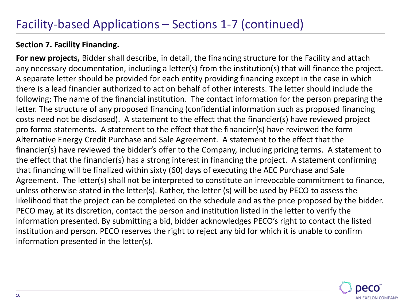#### **Section 7. Facility Financing.**

**For new projects,** Bidder shall describe, in detail, the financing structure for the Facility and attach any necessary documentation, including a letter(s) from the institution(s) that will finance the project. A separate letter should be provided for each entity providing financing except in the case in which there is a lead financier authorized to act on behalf of other interests. The letter should include the following: The name of the financial institution. The contact information for the person preparing the letter. The structure of any proposed financing (confidential information such as proposed financing costs need not be disclosed). A statement to the effect that the financier(s) have reviewed project pro forma statements. A statement to the effect that the financier(s) have reviewed the form Alternative Energy Credit Purchase and Sale Agreement. A statement to the effect that the financier(s) have reviewed the bidder's offer to the Company, including pricing terms. A statement to the effect that the financier(s) has a strong interest in financing the project. A statement confirming that financing will be finalized within sixty (60) days of executing the AEC Purchase and Sale Agreement. The letter(s) shall not be interpreted to constitute an irrevocable commitment to finance, unless otherwise stated in the letter(s). Rather, the letter (s) will be used by PECO to assess the likelihood that the project can be completed on the schedule and as the price proposed by the bidder. PECO may, at its discretion, contact the person and institution listed in the letter to verify the information presented. By submitting a bid, bidder acknowledges PECO's right to contact the listed institution and person. PECO reserves the right to reject any bid for which it is unable to confirm information presented in the letter(s).

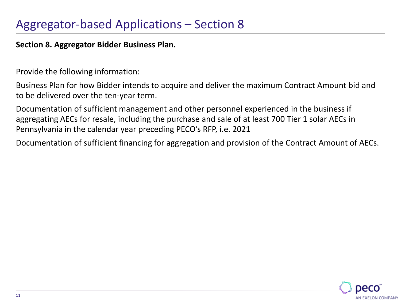**Section 8. Aggregator Bidder Business Plan.** 

Provide the following information:

Business Plan for how Bidder intends to acquire and deliver the maximum Contract Amount bid and to be delivered over the ten-year term.

Documentation of sufficient management and other personnel experienced in the business if aggregating AECs for resale, including the purchase and sale of at least 700 Tier 1 solar AECs in Pennsylvania in the calendar year preceding PECO's RFP, i.e. 2021

Documentation of sufficient financing for aggregation and provision of the Contract Amount of AECs.

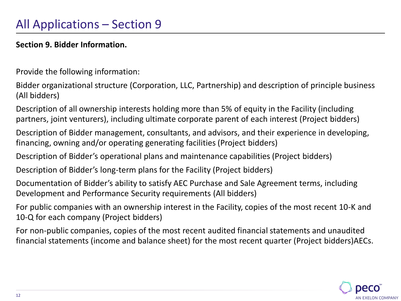#### **Section 9. Bidder Information.**

Provide the following information:

Bidder organizational structure (Corporation, LLC, Partnership) and description of principle business (All bidders)

Description of all ownership interests holding more than 5% of equity in the Facility (including partners, joint venturers), including ultimate corporate parent of each interest (Project bidders)

Description of Bidder management, consultants, and advisors, and their experience in developing, financing, owning and/or operating generating facilities (Project bidders)

Description of Bidder's operational plans and maintenance capabilities (Project bidders)

Description of Bidder's long-term plans for the Facility (Project bidders)

Documentation of Bidder's ability to satisfy AEC Purchase and Sale Agreement terms, including Development and Performance Security requirements (All bidders)

For public companies with an ownership interest in the Facility, copies of the most recent 10-K and 10-Q for each company (Project bidders)

For non-public companies, copies of the most recent audited financial statements and unaudited financial statements (income and balance sheet) for the most recent quarter (Project bidders)AECs.

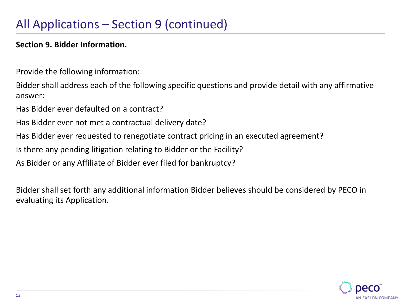#### **Section 9. Bidder Information.**

Provide the following information:

Bidder shall address each of the following specific questions and provide detail with any affirmative answer:

Has Bidder ever defaulted on a contract?

Has Bidder ever not met a contractual delivery date?

Has Bidder ever requested to renegotiate contract pricing in an executed agreement?

Is there any pending litigation relating to Bidder or the Facility?

As Bidder or any Affiliate of Bidder ever filed for bankruptcy?

Bidder shall set forth any additional information Bidder believes should be considered by PECO in evaluating its Application.

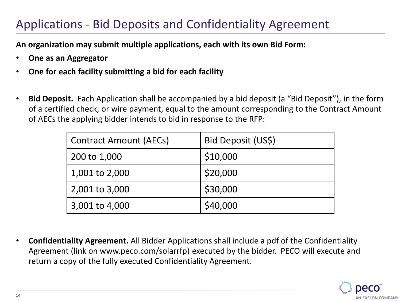## Applications - Bid Deposits and Confidentiality Agreement

**An organization may submit multiple applications, each with its own Bid Form:**

- **One as an Aggregator**
- **One for each facility submitting a bid for each facility**
- **Bid Deposit.** Each Application shall be accompanied by a bid deposit (a "Bid Deposit"), in the form of a certified check, or wire payment, equal to the amount corresponding to the Contract Amount of AECs the applying bidder intends to bid in response to the RFP:

| <b>Contract Amount (AECs)</b> | Bid Deposit (US\$) |
|-------------------------------|--------------------|
| 200 to 1,000                  | \$10,000           |
| 1,001 to 2,000                | \$20,000           |
| 2,001 to 3,000                | \$30,000           |
| 3,001 to 4,000                | \$40,000           |

• **Confidentiality Agreement.** All Bidder Applications shall include a pdf of the Confidentiality Agreement (link on www.peco.com/solarrfp) executed by the bidder. PECO will execute and return a copy of the fully executed Confidentiality Agreement.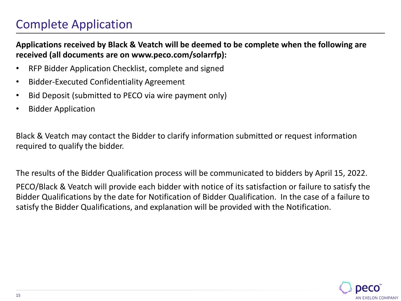## Complete Application

#### **Applications received by Black & Veatch will be deemed to be complete when the following are received (all documents are on www.peco.com/solarrfp):**

- RFP Bidder Application Checklist, complete and signed
- Bidder-Executed Confidentiality Agreement
- Bid Deposit (submitted to PECO via wire payment only)
- Bidder Application

Black & Veatch may contact the Bidder to clarify information submitted or request information required to qualify the bidder.

The results of the Bidder Qualification process will be communicated to bidders by April 15, 2022. PECO/Black & Veatch will provide each bidder with notice of its satisfaction or failure to satisfy the Bidder Qualifications by the date for Notification of Bidder Qualification. In the case of a failure to satisfy the Bidder Qualifications, and explanation will be provided with the Notification.

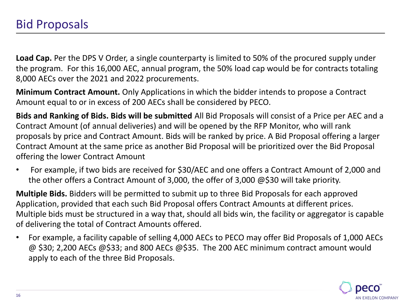**Load Cap.** Per the DPS V Order, a single counterparty is limited to 50% of the procured supply under the program. For this 16,000 AEC, annual program, the 50% load cap would be for contracts totaling 8,000 AECs over the 2021 and 2022 procurements.

**Minimum Contract Amount.** Only Applications in which the bidder intends to propose a Contract Amount equal to or in excess of 200 AECs shall be considered by PECO.

**Bids and Ranking of Bids. Bids will be submitted** All Bid Proposals will consist of a Price per AEC and a Contract Amount (of annual deliveries) and will be opened by the RFP Monitor, who will rank proposals by price and Contract Amount. Bids will be ranked by price. A Bid Proposal offering a larger Contract Amount at the same price as another Bid Proposal will be prioritized over the Bid Proposal offering the lower Contract Amount

• For example, if two bids are received for \$30/AEC and one offers a Contract Amount of 2,000 and the other offers a Contract Amount of 3,000, the offer of 3,000 @\$30 will take priority.

**Multiple Bids.** Bidders will be permitted to submit up to three Bid Proposals for each approved Application, provided that each such Bid Proposal offers Contract Amounts at different prices. Multiple bids must be structured in a way that, should all bids win, the facility or aggregator is capable of delivering the total of Contract Amounts offered.

• For example, a facility capable of selling 4,000 AECs to PECO may offer Bid Proposals of 1,000 AECs @ \$30; 2,200 AECs @\$33; and 800 AECs @\$35. The 200 AEC minimum contract amount would apply to each of the three Bid Proposals.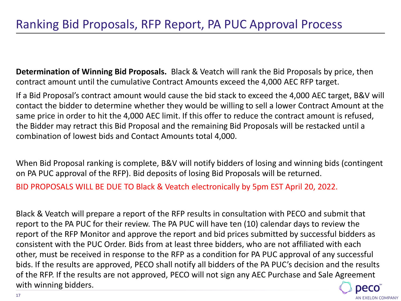**Determination of Winning Bid Proposals.** Black & Veatch will rank the Bid Proposals by price, then contract amount until the cumulative Contract Amounts exceed the 4,000 AEC RFP target.

If a Bid Proposal's contract amount would cause the bid stack to exceed the 4,000 AEC target, B&V will contact the bidder to determine whether they would be willing to sell a lower Contract Amount at the same price in order to hit the 4,000 AEC limit. If this offer to reduce the contract amount is refused, the Bidder may retract this Bid Proposal and the remaining Bid Proposals will be restacked until a combination of lowest bids and Contact Amounts total 4,000.

When Bid Proposal ranking is complete, B&V will notify bidders of losing and winning bids (contingent on PA PUC approval of the RFP). Bid deposits of losing Bid Proposals will be returned.

BID PROPOSALS WILL BE DUE TO Black & Veatch electronically by 5pm EST April 20, 2022.

Black & Veatch will prepare a report of the RFP results in consultation with PECO and submit that report to the PA PUC for their review. The PA PUC will have ten (10) calendar days to review the report of the RFP Monitor and approve the report and bid prices submitted by successful bidders as consistent with the PUC Order. Bids from at least three bidders, who are not affiliated with each other, must be received in response to the RFP as a condition for PA PUC approval of any successful bids. If the results are approved, PECO shall notify all bidders of the PA PUC's decision and the results of the RFP. If the results are not approved, PECO will not sign any AEC Purchase and Sale Agreement with winning bidders.

AN EXELON COMPANY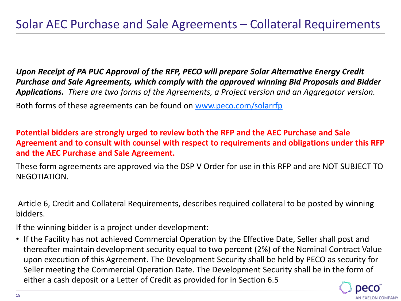*Upon Receipt of PA PUC Approval of the RFP, PECO will prepare Solar Alternative Energy Credit Purchase and Sale Agreements, which comply with the approved winning Bid Proposals and Bidder Applications. There are two forms of the Agreements, a Project version and an Aggregator version.* Both forms of these agreements can be found on [www.peco.com/solarrfp](http://www.peco.com/solarrfp)

**Potential bidders are strongly urged to review both the RFP and the AEC Purchase and Sale Agreement and to consult with counsel with respect to requirements and obligations under this RFP and the AEC Purchase and Sale Agreement.**

These form agreements are approved via the DSP V Order for use in this RFP and are NOT SUBJECT TO NEGOTIATION.

Article 6, Credit and Collateral Requirements, describes required collateral to be posted by winning bidders.

If the winning bidder is a project under development:

• If the Facility has not achieved Commercial Operation by the Effective Date, Seller shall post and thereafter maintain development security equal to two percent (2%) of the Nominal Contract Value upon execution of this Agreement. The Development Security shall be held by PECO as security for Seller meeting the Commercial Operation Date. The Development Security shall be in the form of either a cash deposit or a Letter of Credit as provided for in Section 6.5

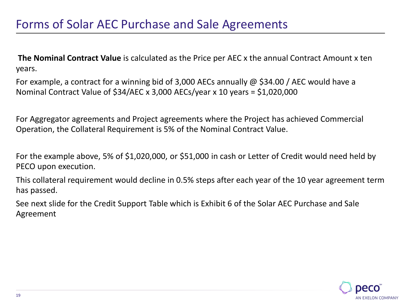**The Nominal Contract Value** is calculated as the Price per AEC x the annual Contract Amount x ten years.

For example, a contract for a winning bid of 3,000 AECs annually @ \$34.00 / AEC would have a Nominal Contract Value of \$34/AEC x 3,000 AECs/year x 10 years = \$1,020,000

For Aggregator agreements and Project agreements where the Project has achieved Commercial Operation, the Collateral Requirement is 5% of the Nominal Contract Value.

For the example above, 5% of \$1,020,000, or \$51,000 in cash or Letter of Credit would need held by PECO upon execution.

This collateral requirement would decline in 0.5% steps after each year of the 10 year agreement term has passed.

See next slide for the Credit Support Table which is Exhibit 6 of the Solar AEC Purchase and Sale Agreement

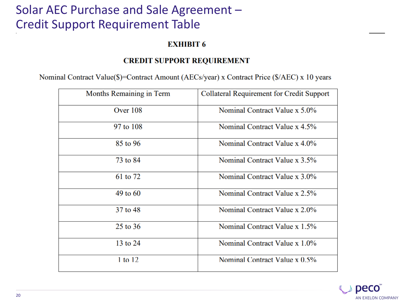## Solar AEC Purchase and Sale Agreement – Credit Support Requirement Table

#### **EXHIBIT 6**

#### **CREDIT SUPPORT REQUIREMENT**

Nominal Contract Value(\$)=Contract Amount (AECs/year) x Contract Price (\$/AEC) x 10 years

| Months Remaining in Term | Collateral Requirement for Credit Support |
|--------------------------|-------------------------------------------|
| Over 108                 | Nominal Contract Value x 5.0%             |
| 97 to 108                | Nominal Contract Value x 4.5%             |
| 85 to 96                 | Nominal Contract Value x 4.0%             |
| 73 to 84                 | Nominal Contract Value x 3.5%             |
| 61 to 72                 | Nominal Contract Value x 3.0%             |
| $49$ to $60$             | Nominal Contract Value x 2.5%             |
| 37 to 48                 | Nominal Contract Value x 2.0%             |
| 25 to 36                 | Nominal Contract Value x 1.5%             |
| 13 to 24                 | Nominal Contract Value x 1.0%             |
| 1 to 12                  | Nominal Contract Value x 0.5%             |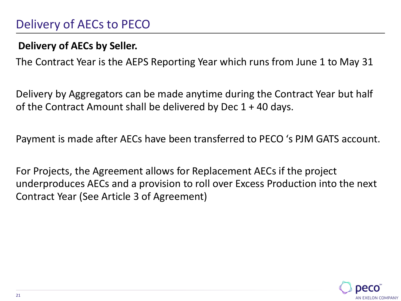## Delivery of AECs to PECO

### **Delivery of AECs by Seller.**

The Contract Year is the AEPS Reporting Year which runs from June 1 to May 31

Delivery by Aggregators can be made anytime during the Contract Year but half of the Contract Amount shall be delivered by Dec 1 + 40 days.

Payment is made after AECs have been transferred to PECO 's PJM GATS account.

For Projects, the Agreement allows for Replacement AECs if the project underproduces AECs and a provision to roll over Excess Production into the next Contract Year (See Article 3 of Agreement)